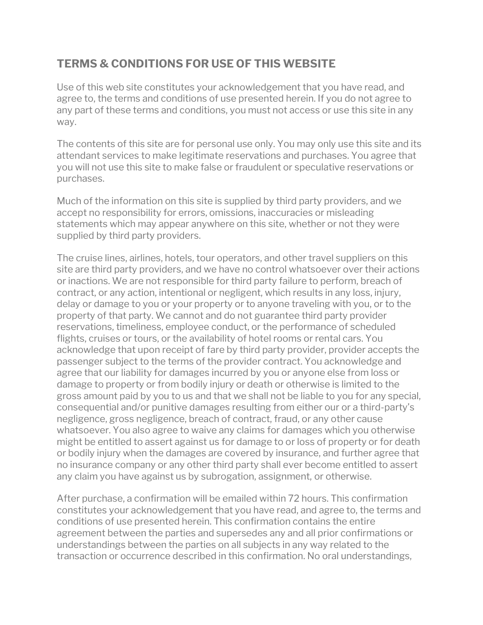## **TERMS & CONDITIONS FOR USE OF THIS WEBSITE**

Use of this web site constitutes your acknowledgement that you have read, and agree to, the terms and conditions of use presented herein. If you do not agree to any part of these terms and conditions, you must not access or use this site in any way.

The contents of this site are for personal use only. You may only use this site and its attendant services to make legitimate reservations and purchases. You agree that you will not use this site to make false or fraudulent or speculative reservations or purchases.

Much of the information on this site is supplied by third party providers, and we accept no responsibility for errors, omissions, inaccuracies or misleading statements which may appear anywhere on this site, whether or not they were supplied by third party providers.

The cruise lines, airlines, hotels, tour operators, and other travel suppliers on this site are third party providers, and we have no control whatsoever over their actions or inactions. We are not responsible for third party failure to perform, breach of contract, or any action, intentional or negligent, which results in any loss, injury, delay or damage to you or your property or to anyone traveling with you, or to the property of that party. We cannot and do not guarantee third party provider reservations, timeliness, employee conduct, or the performance of scheduled flights, cruises or tours, or the availability of hotel rooms or rental cars. You acknowledge that upon receipt of fare by third party provider, provider accepts the passenger subject to the terms of the provider contract. You acknowledge and agree that our liability for damages incurred by you or anyone else from loss or damage to property or from bodily injury or death or otherwise is limited to the gross amount paid by you to us and that we shall not be liable to you for any special, consequential and/or punitive damages resulting from either our or a third-party's negligence, gross negligence, breach of contract, fraud, or any other cause whatsoever. You also agree to waive any claims for damages which you otherwise might be entitled to assert against us for damage to or loss of property or for death or bodily injury when the damages are covered by insurance, and further agree that no insurance company or any other third party shall ever become entitled to assert any claim you have against us by subrogation, assignment, or otherwise.

After purchase, a confirmation will be emailed within 72 hours. This confirmation constitutes your acknowledgement that you have read, and agree to, the terms and conditions of use presented herein. This confirmation contains the entire agreement between the parties and supersedes any and all prior confirmations or understandings between the parties on all subjects in any way related to the transaction or occurrence described in this confirmation. No oral understandings,